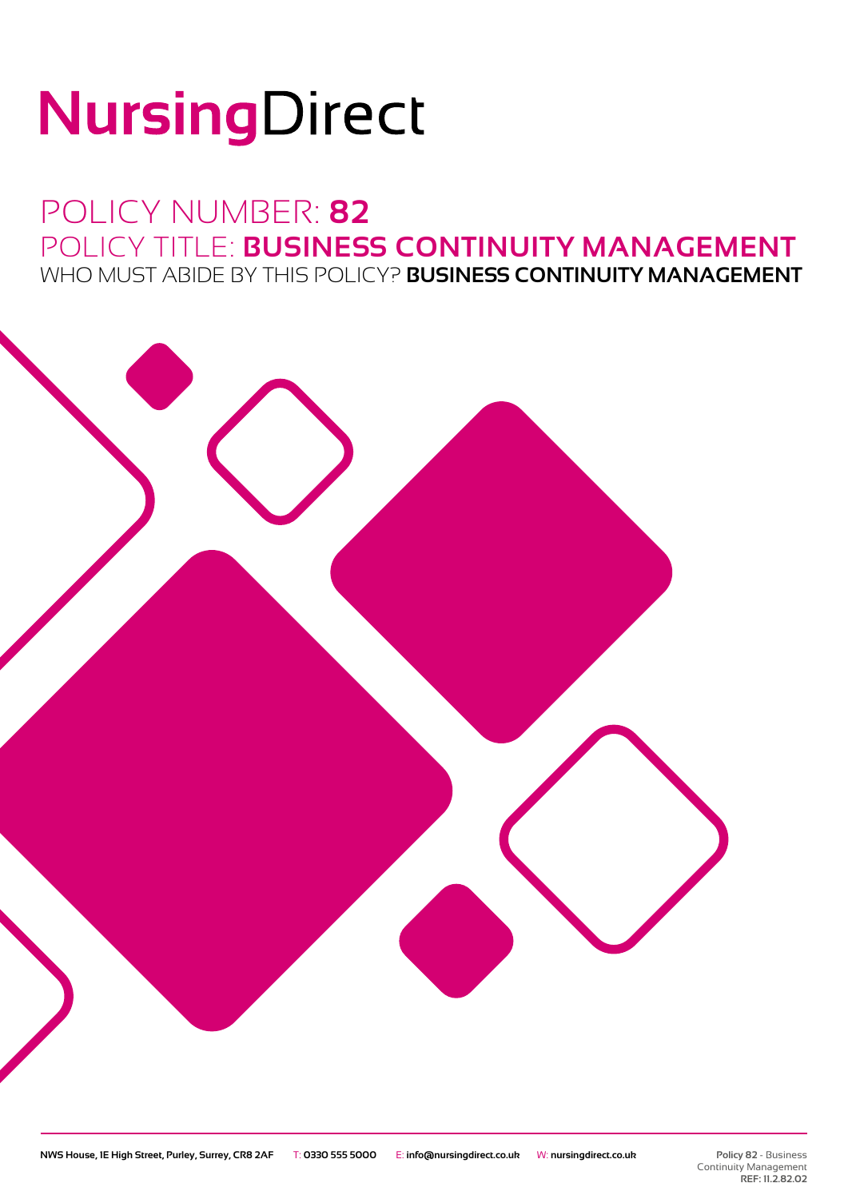# NursingDirect

### POLICY NUMBER: **82** POLICY TITLE: **BUSINESS CONTINUITY MANAGEMENT** WHO MUST ABIDE BY THIS POLICY? **BUSINESS CONTINUITY MANAGEMENT**